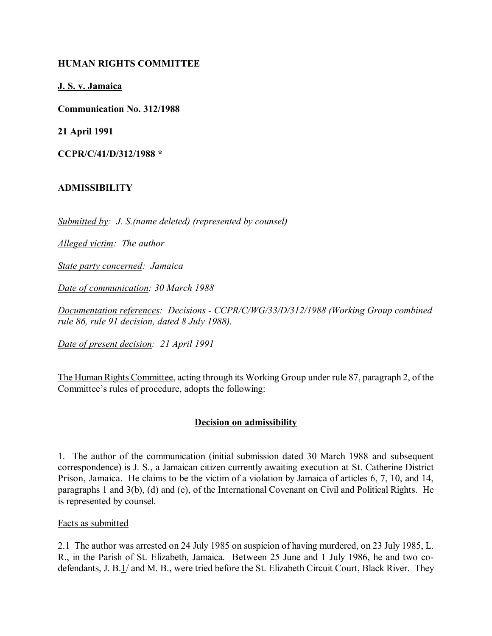# **HUMAN RIGHTS COMMITTEE**

**J. S. v. Jamaica**

**Communication No. 312/1988**

**21 April 1991**

**CCPR/C/41/D/312/1988 \***

## **ADMISSIBILITY**

*Submitted by: J. S.(name deleted) (represented by counsel)*

*Alleged victim: The author*

*State party concerned: Jamaica*

*Date of communication: 30 March 1988* 

*Documentation references: Decisions - CCPR/C/WG/33/D/312/1988 (Working Group combined rule 86, rule 91 decision, dated 8 July 1988).*

*Date of present decision: 21 April 1991*

The Human Rights Committee, acting through its Working Group under rule 87, paragraph 2, of the Committee's rules of procedure, adopts the following:

#### **Decision on admissibility**

1. The author of the communication (initial submission dated 30 March 1988 and subsequent correspondence) is J. S., a Jamaican citizen currently awaiting execution at St. Catherine District Prison, Jamaica. He claims to be the victim of a violation by Jamaica of articles 6, 7, 10, and 14, paragraphs 1 and 3(b), (d) and (e), of the International Covenant on Civil and Political Rights. He is represented by counsel.

#### Facts as submitted

2.1 The author was arrested on 24 July 1985 on suspicion of having murdered, on 23 July 1985, L. R., in the Parish of St. Elizabeth, Jamaica. Between 25 June and 1 July 1986, he and two codefendants, J. B.1/ and M. B., were tried before the St. Elizabeth Circuit Court, Black River. They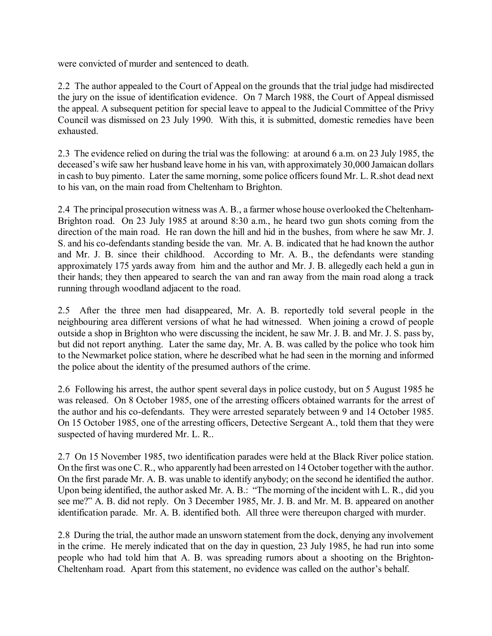were convicted of murder and sentenced to death.

2.2 The author appealed to the Court of Appeal on the grounds that the trial judge had misdirected the jury on the issue of identification evidence. On 7 March 1988, the Court of Appeal dismissed the appeal. A subsequent petition for special leave to appeal to the Judicial Committee of the Privy Council was dismissed on 23 July 1990. With this, it is submitted, domestic remedies have been exhausted.

2.3 The evidence relied on during the trial was the following: at around 6 a.m. on 23 July 1985, the deceased's wife saw her husband leave home in his van, with approximately 30,000 Jamaican dollars in cash to buy pimento. Later the same morning, some police officers found Mr. L. R.shot dead next to his van, on the main road from Cheltenham to Brighton.

2.4 The principal prosecution witness was A. B., a farmer whose house overlooked the Cheltenham-Brighton road. On 23 July 1985 at around 8:30 a.m., he heard two gun shots coming from the direction of the main road. He ran down the hill and hid in the bushes, from where he saw Mr. J. S. and his co-defendants standing beside the van. Mr. A. B. indicated that he had known the author and Mr. J. B. since their childhood. According to Mr. A. B., the defendants were standing approximately 175 yards away from him and the author and Mr. J. B. allegedly each held a gun in their hands; they then appeared to search the van and ran away from the main road along a track running through woodland adjacent to the road.

2.5 After the three men had disappeared, Mr. A. B. reportedly told several people in the neighbouring area different versions of what he had witnessed. When joining a crowd of people outside a shop in Brighton who were discussing the incident, he saw Mr. J. B. and Mr. J. S. pass by, but did not report anything. Later the same day, Mr. A. B. was called by the police who took him to the Newmarket police station, where he described what he had seen in the morning and informed the police about the identity of the presumed authors of the crime.

2.6 Following his arrest, the author spent several days in police custody, but on 5 August 1985 he was released. On 8 October 1985, one of the arresting officers obtained warrants for the arrest of the author and his co-defendants. They were arrested separately between 9 and 14 October 1985. On 15 October 1985, one of the arresting officers, Detective Sergeant A., told them that they were suspected of having murdered Mr. L. R..

2.7 On 15 November 1985, two identification parades were held at the Black River police station. On the first was one C. R., who apparently had been arrested on 14 October together with the author. On the first parade Mr. A. B. was unable to identify anybody; on the second he identified the author. Upon being identified, the author asked Mr. A. B.: "The morning of the incident with L. R., did you see me?" A. B. did not reply. On 3 December 1985, Mr. J. B. and Mr. M. B. appeared on another identification parade. Mr. A. B. identified both. All three were thereupon charged with murder.

2.8 During the trial, the author made an unsworn statement from the dock, denying any involvement in the crime. He merely indicated that on the day in question, 23 July 1985, he had run into some people who had told him that A. B. was spreading rumors about a shooting on the Brighton-Cheltenham road. Apart from this statement, no evidence was called on the author's behalf.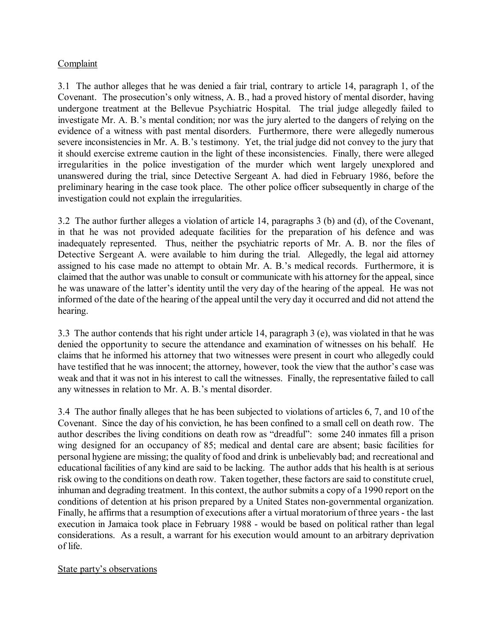# **Complaint**

3.1 The author alleges that he was denied a fair trial, contrary to article 14, paragraph 1, of the Covenant. The prosecution's only witness, A. B., had a proved history of mental disorder, having undergone treatment at the Bellevue Psychiatric Hospital. The trial judge allegedly failed to investigate Mr. A. B.'s mental condition; nor was the jury alerted to the dangers of relying on the evidence of a witness with past mental disorders. Furthermore, there were allegedly numerous severe inconsistencies in Mr. A. B.'s testimony. Yet, the trial judge did not convey to the jury that it should exercise extreme caution in the light of these inconsistencies. Finally, there were alleged irregularities in the police investigation of the murder which went largely unexplored and unanswered during the trial, since Detective Sergeant A. had died in February 1986, before the preliminary hearing in the case took place. The other police officer subsequently in charge of the investigation could not explain the irregularities.

3.2 The author further alleges a violation of article 14, paragraphs 3 (b) and (d), of the Covenant, in that he was not provided adequate facilities for the preparation of his defence and was inadequately represented. Thus, neither the psychiatric reports of Mr. A. B. nor the files of Detective Sergeant A. were available to him during the trial. Allegedly, the legal aid attorney assigned to his case made no attempt to obtain Mr. A. B.'s medical records. Furthermore, it is claimed that the author was unable to consult or communicate with his attorney for the appeal, since he was unaware of the latter's identity until the very day of the hearing of the appeal. He was not informed of the date of the hearing of the appeal until the very day it occurred and did not attend the hearing.

3.3 The author contends that his right under article 14, paragraph 3 (e), was violated in that he was denied the opportunity to secure the attendance and examination of witnesses on his behalf. He claims that he informed his attorney that two witnesses were present in court who allegedly could have testified that he was innocent; the attorney, however, took the view that the author's case was weak and that it was not in his interest to call the witnesses. Finally, the representative failed to call any witnesses in relation to Mr. A. B.'s mental disorder.

3.4 The author finally alleges that he has been subjected to violations of articles 6, 7, and 10 of the Covenant. Since the day of his conviction, he has been confined to a small cell on death row. The author describes the living conditions on death row as "dreadful": some 240 inmates fill a prison wing designed for an occupancy of 85; medical and dental care are absent; basic facilities for personal hygiene are missing; the quality of food and drink is unbelievably bad; and recreational and educational facilities of any kind are said to be lacking. The author adds that his health is at serious risk owing to the conditions on death row. Taken together, these factors are said to constitute cruel, inhuman and degrading treatment. In this context, the author submits a copy of a 1990 report on the conditions of detention at his prison prepared by a United States non-governmental organization. Finally, he affirms that a resumption of executions after a virtual moratorium of three years - the last execution in Jamaica took place in February 1988 - would be based on political rather than legal considerations. As a result, a warrant for his execution would amount to an arbitrary deprivation of life.

#### State party's observations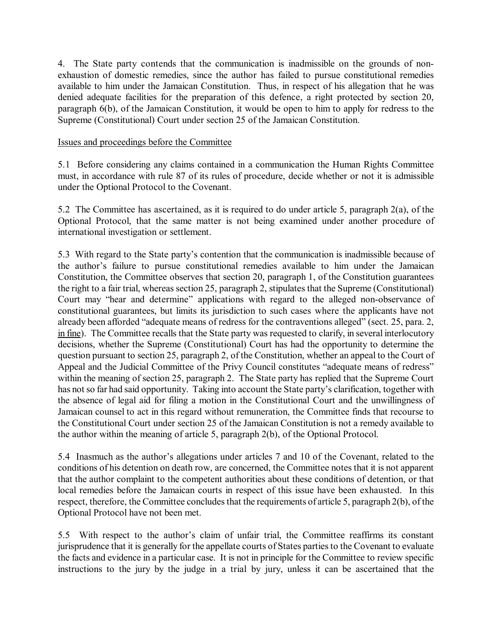4. The State party contends that the communication is inadmissible on the grounds of nonexhaustion of domestic remedies, since the author has failed to pursue constitutional remedies available to him under the Jamaican Constitution. Thus, in respect of his allegation that he was denied adequate facilities for the preparation of this defence, a right protected by section 20, paragraph 6(b), of the Jamaican Constitution, it would be open to him to apply for redress to the Supreme (Constitutional) Court under section 25 of the Jamaican Constitution.

## Issues and proceedings before the Committee

5.1 Before considering any claims contained in a communication the Human Rights Committee must, in accordance with rule 87 of its rules of procedure, decide whether or not it is admissible under the Optional Protocol to the Covenant.

5.2 The Committee has ascertained, as it is required to do under article 5, paragraph 2(a), of the Optional Protocol, that the same matter is not being examined under another procedure of international investigation or settlement.

5.3 With regard to the State partyís contention that the communication is inadmissible because of the author's failure to pursue constitutional remedies available to him under the Jamaican Constitution, the Committee observes that section 20, paragraph 1, of the Constitution guarantees the right to a fair trial, whereas section 25, paragraph 2, stipulates that the Supreme (Constitutional) Court may "hear and determine" applications with regard to the alleged non-observance of constitutional guarantees, but limits its jurisdiction to such cases where the applicants have not already been afforded "adequate means of redress for the contraventions alleged" (sect. 25, para. 2, in fine). The Committee recalls that the State party was requested to clarify, in several interlocutory decisions, whether the Supreme (Constitutional) Court has had the opportunity to determine the question pursuant to section 25, paragraph 2, of the Constitution, whether an appeal to the Court of Appeal and the Judicial Committee of the Privy Council constitutes "adequate means of redress" within the meaning of section 25, paragraph 2. The State party has replied that the Supreme Court has not so far had said opportunity. Taking into account the State party's clarification, together with the absence of legal aid for filing a motion in the Constitutional Court and the unwillingness of Jamaican counsel to act in this regard without remuneration, the Committee finds that recourse to the Constitutional Court under section 25 of the Jamaican Constitution is not a remedy available to the author within the meaning of article 5, paragraph 2(b), of the Optional Protocol.

5.4 Inasmuch as the author's allegations under articles 7 and 10 of the Covenant, related to the conditions of his detention on death row, are concerned, the Committee notes that it is not apparent that the author complaint to the competent authorities about these conditions of detention, or that local remedies before the Jamaican courts in respect of this issue have been exhausted. In this respect, therefore, the Committee concludes that the requirements of article 5, paragraph 2(b), of the Optional Protocol have not been met.

5.5 With respect to the author's claim of unfair trial, the Committee reaffirms its constant jurisprudence that it is generally for the appellate courts of States parties to the Covenant to evaluate the facts and evidence in a particular case. It is not in principle for the Committee to review specific instructions to the jury by the judge in a trial by jury, unless it can be ascertained that the